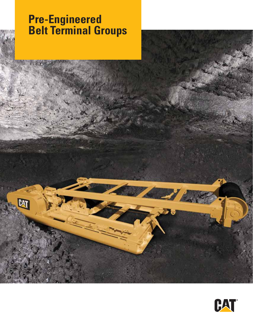# **Pre-Engineered Belt Terminal Groups**

 $\mathbb{R}$ 



**OVER**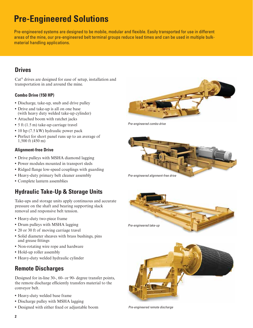## **Pre-Engineered Solutions**

Pre-engineered systems are designed to be mobile, modular and flexible. Easily transported for use in different areas of the mine, our pre-engineered belt terminal groups reduce lead times and can be used in multiple bulkmaterial handling applications.

#### **Drives**

Cat® drives are designed for ease of setup, installation and transportation in and around the mine.

#### **Combo Drive (150 HP)**

- **•** Discharge, take-up, snub and drive pulley
- **•** Drive and take-up is all on one base (with heavy duty welded take-up cylinder)
- **•** Attached boom with ratchet jacks
- **•** 5 ft (1.5 m) take-up carriage travel
- **•** 10 hp (7.5 kW) hydraulic power pack
- **•** Perfect for short panel runs up to an average of 1,500 ft (450 m)

#### **Alignment-free Drive**

- **•** Drive pulleys with MSHA diamond lagging
- **•** Power modules mounted in transport sleds
- **•** Ridged flange low-speed couplings with guarding
- **•** Heavy-duty primary belt cleaner assembly
- **•** Complete lantern assemblies

## **Hydraulic Take-Up & Storage Units**

Take-ups and storage units apply continuous and accurate pressure on the shaft and bearing supporting slack removal and responsive belt tension.

- **•** Heavy-duty two-piece frame
- **•** Drum pulleys with MSHA lagging
- **•** 20 or 30 ft of moving carriage travel
- **•** Solid diameter sheaves with brass bushings, pins and grease fittings
- **•** Non-rotating wire rope and hardware
- **•** Hold-up roller assembly
- **•** Heavy-duty welded hydraulic cylinder

#### **Remote Discharges**

Designed for in-line 30-, 60- or 90- degree transfer points, the remote discharge efficiently transfers material to the conveyor belt.

- **•** Heavy-duty welded base frame
- **•** Discharge pulley with MSHA lagging
- **•** Designed with either fixed or adjustable boom



*Pre-engineered combo drive*







*Pre-engineered remote discharge*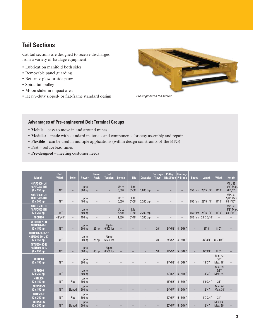### **Tail Sections**

Cat tail sections are designed to receive discharges from a variety of haulage equipment.

- **•** Lubrication manifold both sides
- **•** Removable panel guarding
- **•** Return v-plow or side plow
- **•** Spiral tail pulley
- **•** Moon slider in impact area
- **•** Heavy-duty sloped- or flat-frame standard design *Pre-engineered tail section*



#### **Advantages of Pre-engineered Belt Terminal Groups**

- **• Mobile** easy to move in and around mines
- **• Modular** made with standard materials and components for easy assembly and repair
- **Flexible** can be used in multiple applications (within design constraints of the BTG)
- **• Fast** reduce lead times
- **• Pre-designed** meeting customer needs

| <b>Model</b>                                              | <b>Belt</b><br><b>Width</b> | <b>Style</b>             | <b>Power</b>      | <b>Power</b><br>Pack     | <b>Belt</b><br><b>Tension</b> | Length          | Lift               | <b>Capacity</b> | <b>Carriage</b><br><b>Travel</b> | <b>Pulley</b><br>Dia&Face | <b>Bearings</b><br>P-Block | <b>Speed</b>      | Length              | <b>Width</b>                        | <b>Height</b>                           |
|-----------------------------------------------------------|-----------------------------|--------------------------|-------------------|--------------------------|-------------------------------|-----------------|--------------------|-----------------|----------------------------------|---------------------------|----------------------------|-------------------|---------------------|-------------------------------------|-----------------------------------------|
| 48AFD300-LH<br>48AFD300-RH<br>$(2 \times 150$ hp)         | 48"                         |                          | Up to<br>300 hp   |                          |                               | Up to<br>5,500' | Lift<br>$0' - 60'$ | 1,800 thp       |                                  |                           |                            |                   | 550 fpm 28' 5 1/4"  | 11'0''                              | <b>Min. 52</b><br>5/8" Max.<br>78 1/2"  |
| 48AFD400-LH<br>48AFD400-RH<br>$(2 \times 200$ hp)         | 48"                         |                          | Up to<br>400 hp   |                          |                               | Up to<br>5,500' | Lift<br>$0' - 60'$ | 2,200 thp       |                                  |                           |                            |                   | 650 fpm 28' 5 1/4"  | 11'0''                              | Min. 59<br>5/8" Max.<br>84 1/16"        |
| 48AFD500-LH<br>48AFD500-RH<br>$(2 \times 250$ hp)         | 48"                         | $\qquad \qquad -$        | Up to<br>500 hp   |                          |                               | Up to<br>5,500' | Lift<br>$0' - 60'$ | 2,200 thp       |                                  |                           |                            |                   | 650 fpm 28' 5 1/4"  | 11'0''                              | <b>Min. 59</b><br>5/8" Max.<br>84 1/16" |
| 48CB150                                                   | 42"/48"                     | $\overline{\phantom{m}}$ | 150 hp            | $\overline{\phantom{m}}$ | $\overline{\phantom{m}}$      | 1,500           | $0' - 40'$         | 1,200 thp       | $\overline{\phantom{m}}$         |                           |                            |                   | 580 fpm 23' 7 7/10" | $\overline{\phantom{m}}$            |                                         |
| 48TU300-20-R<br>48TU300-20-L<br>$(2 \times 150 hp)$       | 48"                         |                          | Up to<br>300 hp   | 25 <sub>hp</sub>         | Up to<br>6,500 lbs            |                 |                    |                 | 20'                              |                           | 24'x52' 4 15/16"           |                   | 27'0''              | $8'$ $0''$                          |                                         |
| 48TU300-30-R-57<br>48TU300-30-L-57<br>$(2 \times 150 hp)$ | 48"                         |                          | Up to<br>300 hp   | 25 <sub>hp</sub>         | Up to<br>6,500 lbs            |                 |                    |                 | 30'                              |                           | 24'x57' 4 15/16"           |                   | $37'$ $3/4''$       | $8'$ 2 1/4"                         |                                         |
| 48TU500-30-R<br>48TU500-30-L<br>$(2 \times 250$ hp)       | 48"                         |                          | Up to<br>500 hp   | 40 hp                    | Up to<br>6,500 lbs            |                 |                    |                 | 30'                              | 24'x57'                   | 5 15/16"                   |                   | $37'$ $3/4''$       | 8'5''                               |                                         |
| 48RD300<br>$(2 \times 150)$ hp)                           | 48"                         |                          | Up to<br>300 hp   |                          |                               |                 |                    |                 |                                  |                           | 24'x52' 4 15/16"           |                   | 13'3''              | <b>Min. 52</b><br>5/8''<br>Max. 78' |                                         |
| <b>48RD500</b><br>$(2 \times 250$ hp)                     | 48"                         |                          | Up to<br>$500$ hp |                          |                               |                 |                    |                 |                                  | 30'x57'                   | 5 15/16"                   |                   | 13'3''              | <b>Min. 59</b><br>5/8''<br>Max. 84' |                                         |
| 48TL300<br>$(2 \times 150$ hp)                            | 48"                         | Flat                     | Up to<br>300 hp   | $\overline{\phantom{m}}$ |                               |                 |                    |                 | $\overline{\phantom{m}}$         | 16'x52'                   | 4 15/16"                   | $\qquad \qquad -$ | 14' 9 3/4"          | 24'                                 |                                         |
| 48TL300-S<br>$(2 \times 150$ hp)                          | 48"                         | Sloped                   | Up to<br>300 hp   |                          |                               |                 |                    |                 |                                  | 24'x57'                   | 4 15/16"                   |                   | $12'$ 4"            | Min. 24'<br>Max. 30'                |                                         |
| 48TL500-F<br>$(2 \times 250 hp)$                          | 48"                         | Flat                     | Up to<br>500 hp   | $\overline{\phantom{0}}$ |                               |                 |                    |                 |                                  | 20'x57'                   | 515/16"                    | $\qquad \qquad -$ | 14' 7 3/4"          | 31'                                 |                                         |
| 48TL500-S<br>$(2 \times 250$ hp)                          | 48"                         | Sloped                   | Up to<br>500 hp   |                          |                               |                 |                    |                 |                                  | 20'x57'                   | 515/16"                    |                   | $12'$ 4"            | Min. 24'<br>Max. 30'                |                                         |